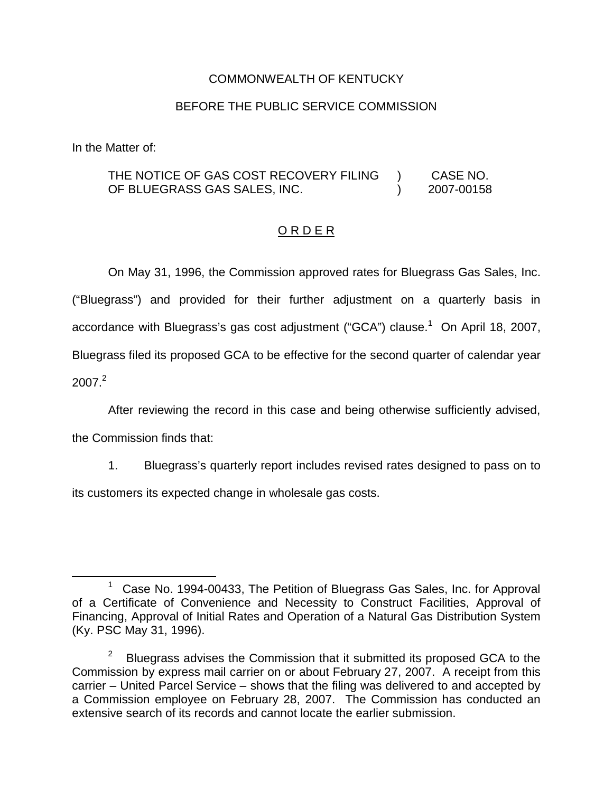### COMMONWEALTH OF KENTUCKY

#### BEFORE THE PUBLIC SERVICE COMMISSION

In the Matter of:

THE NOTICE OF GAS COST RECOVERY FILING OF BLUEGRASS GAS SALES, INC. ) CASE NO. ) 2007-00158

### O R D E R

On May 31, 1996, the Commission approved rates for Bluegrass Gas Sales, Inc. ("Bluegrass") and provided for their further adjustment on a quarterly basis in accordance with Bluegrass's gas cost adjustment ("GCA") clause.<sup>1</sup> On April 18, 2007, Bluegrass filed its proposed GCA to be effective for the second quarter of calendar year  $2007<sup>2</sup>$ 

After reviewing the record in this case and being otherwise sufficiently advised, the Commission finds that:

1. Bluegrass's quarterly report includes revised rates designed to pass on to its customers its expected change in wholesale gas costs.

<sup>&</sup>lt;sup>1</sup> Case No. 1994-00433, The Petition of Bluegrass Gas Sales, Inc. for Approval of a Certificate of Convenience and Necessity to Construct Facilities, Approval of Financing, Approval of Initial Rates and Operation of a Natural Gas Distribution System (Ky. PSC May 31, 1996).

<sup>&</sup>lt;sup>2</sup> Bluegrass advises the Commission that it submitted its proposed GCA to the Commission by express mail carrier on or about February 27, 2007. A receipt from this carrier – United Parcel Service – shows that the filing was delivered to and accepted by a Commission employee on February 28, 2007. The Commission has conducted an extensive search of its records and cannot locate the earlier submission.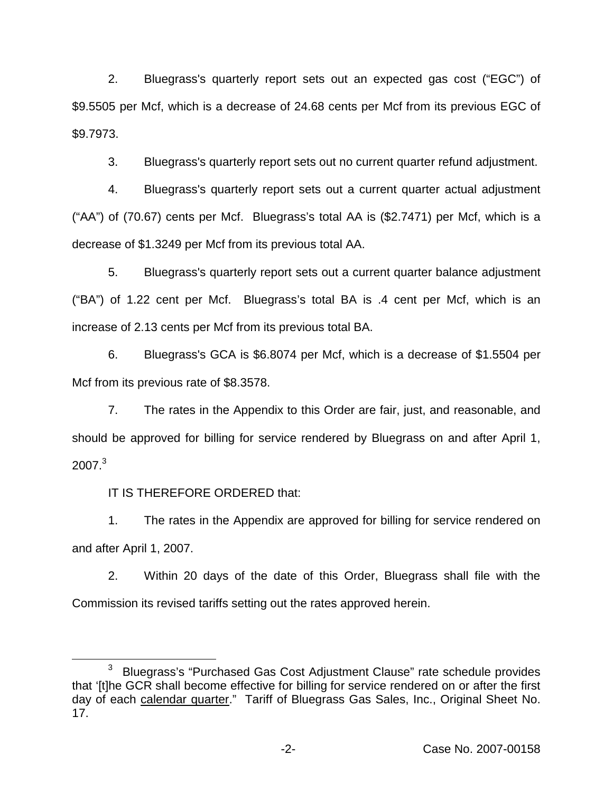2. Bluegrass's quarterly report sets out an expected gas cost ("EGC") of \$9.5505 per Mcf, which is a decrease of 24.68 cents per Mcf from its previous EGC of \$9.7973.

3. Bluegrass's quarterly report sets out no current quarter refund adjustment.

4. Bluegrass's quarterly report sets out a current quarter actual adjustment ("AA") of (70.67) cents per Mcf. Bluegrass's total AA is (\$2.7471) per Mcf, which is a decrease of \$1.3249 per Mcf from its previous total AA.

5. Bluegrass's quarterly report sets out a current quarter balance adjustment ("BA") of 1.22 cent per Mcf. Bluegrass's total BA is .4 cent per Mcf, which is an increase of 2.13 cents per Mcf from its previous total BA.

6. Bluegrass's GCA is \$6.8074 per Mcf, which is a decrease of \$1.5504 per Mcf from its previous rate of \$8.3578.

7. The rates in the Appendix to this Order are fair, just, and reasonable, and should be approved for billing for service rendered by Bluegrass on and after April 1,  $2007<sup>3</sup>$ 

IT IS THEREFORE ORDERED that:

1. The rates in the Appendix are approved for billing for service rendered on and after April 1, 2007.

2. Within 20 days of the date of this Order, Bluegrass shall file with the Commission its revised tariffs setting out the rates approved herein.

<sup>&</sup>lt;sup>3</sup> Bluegrass's "Purchased Gas Cost Adjustment Clause" rate schedule provides that '[t]he GCR shall become effective for billing for service rendered on or after the first day of each calendar quarter." Tariff of Bluegrass Gas Sales, Inc., Original Sheet No. 17.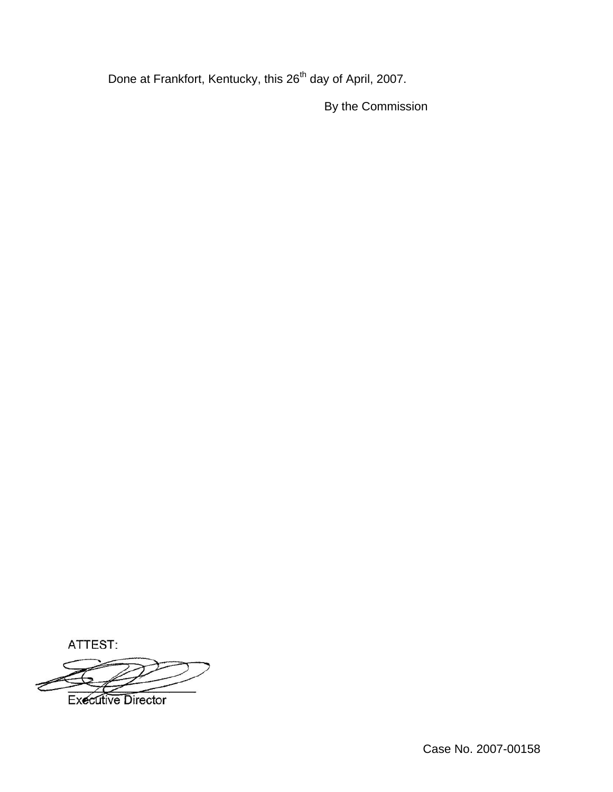Done at Frankfort, Kentucky, this 26<sup>th</sup> day of April, 2007.

By the Commission

ATTEST:



Case No. 2007-00158